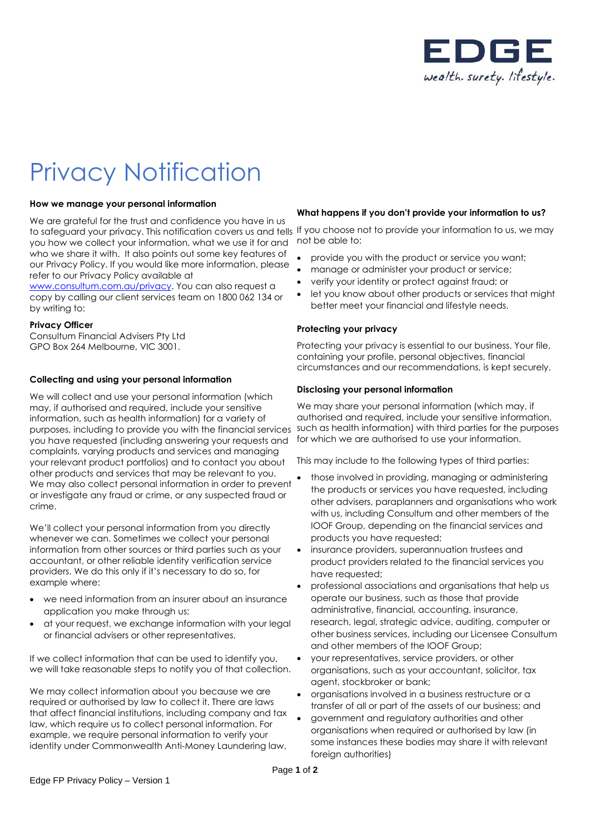

# Privacy Notification

## **How we manage your personal information**

We are grateful for the trust and confidence you have in us to safeguard your privacy. This notification covers us and tells If you choose not to provide your information to us, we may you how we collect your information, what we use it for and who we share it with. It also points out some key features of our Privacy Policy. If you would like more information, please refer to our Privacy Policy available at

[www.consultum.com.au/privacy.](http://www.consultum.com.au/privacy) You can also request a copy by calling our client services team on 1800 062 134 or by writing to:

#### **Privacy Officer**

Consultum Financial Advisers Pty Ltd GPO Box 264 Melbourne, VIC 3001.

## **Collecting and using your personal information**

We will collect and use your personal information (which may, if authorised and required, include your sensitive information, such as health information) for a variety of purposes, including to provide you with the financial services you have requested (including answering your requests and complaints, varying products and services and managing your relevant product portfolios) and to contact you about other products and services that may be relevant to you. We may also collect personal information in order to prevent or investigate any fraud or crime, or any suspected fraud or crime.

We'll collect your personal information from you directly whenever we can. Sometimes we collect your personal information from other sources or third parties such as your accountant, or other reliable identity verification service providers. We do this only if it's necessary to do so, for example where:

- we need information from an insurer about an insurance application you make through us;
- at your request, we exchange information with your legal or financial advisers or other representatives.

If we collect information that can be used to identify you, we will take reasonable steps to notify you of that collection.

We may collect information about you because we are required or authorised by law to collect it. There are laws that affect financial institutions, including company and tax law, which require us to collect personal information. For example, we require personal information to verify your identity under Commonwealth Anti-Money Laundering law.

## **What happens if you don't provide your information to us?**

not be able to:

- provide you with the product or service you want;
- manage or administer your product or service;
- verify your identity or protect against fraud; or
- let you know about other products or services that might better meet your financial and lifestyle needs.

## **Protecting your privacy**

Protecting your privacy is essential to our business. Your file, containing your profile, personal objectives, financial circumstances and our recommendations, is kept securely.

#### **Disclosing your personal information**

We may share your personal information (which may, if authorised and required, include your sensitive information, such as health information) with third parties for the purposes for which we are authorised to use your information.

This may include to the following types of third parties:

- those involved in providing, managing or administering the products or services you have requested, including other advisers, paraplanners and organisations who work with us, including Consultum and other members of the IOOF Group, depending on the financial services and products you have requested;
- insurance providers, superannuation trustees and product providers related to the financial services you have requested;
- professional associations and organisations that help us operate our business, such as those that provide administrative, financial, accounting, insurance, research, legal, strategic advice, auditing, computer or other business services, including our Licensee Consultum and other members of the IOOF Group;
- your representatives, service providers, or other organisations, such as your accountant, solicitor, tax agent, stockbroker or bank;
- organisations involved in a business restructure or a transfer of all or part of the assets of our business; and
- government and regulatory authorities and other organisations when required or authorised by law (in some instances these bodies may share it with relevant foreign authorities)